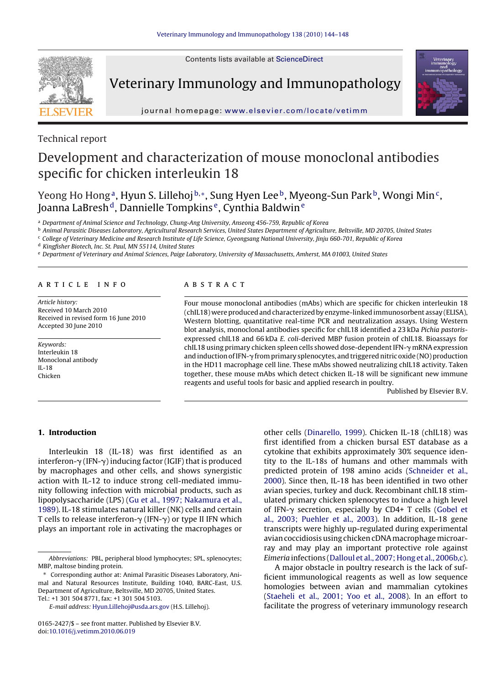Contents lists available at [ScienceDirect](http://www.sciencedirect.com/science/journal/01652427)



Veterinary Immunology and Immunopathology



journal homepage: [www.elsevier.com/locate/vetimm](http://www.elsevier.com/locate/vetimm)

Technical report

# Development and characterization of mouse monoclonal antibodies specific for chicken interleukin 18

Yeong Ho Hong<sup>a</sup>, Hyun S. Lillehoj b,\*, Sung Hyen Lee <sup>b</sup>, Myeong-Sun Park <sup>b</sup>, Wongi Min<sup>c</sup>, Joanna LaBresh<sup>d</sup>, Dannielle Tompkins<sup>e</sup>, Cynthia Baldwin<sup>e</sup>

<sup>a</sup> Department of Animal Science and Technology, Chung-Ang University, Anseong 456-759, Republic of Korea

**b Animal Parasitic Diseases Laboratory, Agricultural Research Services, United States Department of Agriculture, Beltsville, MD 20705, United States** 

<sup>c</sup> College of Veterinary Medicine and Research Institute of Life Science, Gyeongsang National University, Jinju 660-701, Republic of Korea

<sup>d</sup> Kingfisher Biotech, Inc. St. Paul, MN 55114, United States

<sup>e</sup> Department of Veterinary and Animal Sciences, Paige Laboratory, University of Massachusetts, Amherst, MA 01003, United States

## article info

Article history: Received 10 March 2010 Received in revised form 16 June 2010 Accepted 30 June 2010

Keywords: Interleukin 18 Monoclonal antibody IL-18 Chicken

# ABSTRACT

Four mouse monoclonal antibodies (mAbs) which are specific for chicken interleukin 18 (chIL18) were produced and characterized by enzyme-linked immunosorbent assay (ELISA), Western blotting, quantitative real-time PCR and neutralization assays. Using Western blot analysis, monoclonal antibodies specific for chIL18 identified a 23 kDa Pichia pastorisexpressed chIL18 and 66 kDa E. coli-derived MBP fusion protein of chIL18. Bioassays for chIL18 using primary chicken spleen cells showed dose-dependent IFN- $\gamma$  mRNA expression and induction of IFN--from primary splenocytes, and triggered nitric oxide (NO) production in the HD11 macrophage cell line. These mAbs showed neutralizing chIL18 activity. Taken together, these mouse mAbs which detect chicken IL-18 will be significant new immune reagents and useful tools for basic and applied research in poultry.

Published by Elsevier B.V.

## **1. Introduction**

Interleukin 18 (IL-18) was first identified as an interferon- $\gamma$  (IFN- $\gamma$ ) inducing factor (IGIF) that is produced by macrophages and other cells, and shows synergistic action with IL-12 to induce strong cell-mediated immunity following infection with microbial products, such as lipopolysaccharide (LPS) ([Gu et al., 1997; Nakamura et al.,](#page-4-0) [1989\).](#page-4-0) IL-18 stimulates natural killer (NK) cells and certain T cells to release interferon- $\gamma$  (IFN- $\gamma$ ) or type II IFN which plays an important role in activating the macrophages or other cells [\(Dinarello, 1999\).](#page-4-0) Chicken IL-18 (chIL18) was first identified from a chicken bursal EST database as a cytokine that exhibits approximately 30% sequence identity to the IL-18s of humans and other mammals with predicted protein of 198 amino acids [\(Schneider et al.,](#page-4-0) [2000\).](#page-4-0) Since then, IL-18 has been identified in two other avian species, turkey and duck. Recombinant chIL18 stimulated primary chicken splenocytes to induce a high level of IFN- $\gamma$  secretion, especially by CD4+ T cells [\(Gobel et](#page-4-0) [al., 2003; Puehler et al., 2003\).](#page-4-0) In addition, IL-18 gene transcripts were highly up-regulated during experimental avian coccidiosis using chicken cDNAmacrophagemicroarray and may play an important protective role against Eimeria infections ([Dalloul et al., 2007; Hong et al., 2006b,c\).](#page-4-0)

A major obstacle in poultry research is the lack of sufficient immunological reagents as well as low sequence homologies between avian and mammalian cytokines [\(Staeheli et al., 2001; Yoo et al., 2008\).](#page-4-0) In an effort to facilitate the progress of veterinary immunology research

Abbreviations: PBL, peripheral blood lymphocytes; SPL, splenocytes; MBP, maltose binding protein.

<sup>∗</sup> Corresponding author at: Animal Parasitic Diseases Laboratory, Animal and Natural Resources Institute, Building 1040, BARC-East, U.S. Department of Agriculture, Beltsville, MD 20705, United States. Tel.: +1 301 504 8771, fax: +1 301 504 5103.

E-mail address: [Hyun.Lillehoj@usda.ars.gov](mailto:Hyun.Lillehoj@usda.ars.gov) (H.S. Lillehoj).

<sup>0165-2427/\$ –</sup> see front matter. Published by Elsevier B.V. doi[:10.1016/j.vetimm.2010.06.019](dx.doi.org/10.1016/j.vetimm.2010.06.019)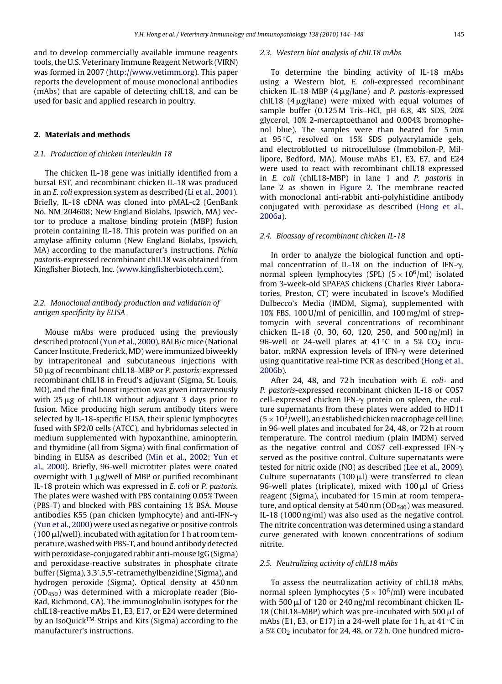<span id="page-1-0"></span>and to develop commercially available immune reagents tools, the U.S. Veterinary Immune Reagent Network (VIRN) was formed in 2007 [\(http://www.vetimm.org\)](http://www.vetimm.org/). This paper reports the development of mouse monoclonal antibodies (mAbs) that are capable of detecting chIL18, and can be used for basic and applied research in poultry.

### **2. Materials and methods**

### 2.1. Production of chicken interleukin 18

The chicken IL-18 gene was initially identified from a bursal EST, and recombinant chicken IL-18 was produced in an E. coli expression system as described ([Li et al., 2001\).](#page-4-0) Briefly, IL-18 cDNA was cloned into pMAL-c2 (GenBank No. NM 204608; New England Biolabs, Ipswich, MA) vector to produce a maltose binding protein (MBP) fusion protein containing IL-18. This protein was purified on an amylase affinity column (New England Biolabs, Ipswich, MA) according to the manufacturer's instructions. Pichia pastoris-expressed recombinant chIL18 was obtained from Kingfisher Biotech, Inc. [\(www.kingfisherbiotech.com\)](http://www.kingfisherbiotech.com/).

## 2.2. Monoclonal antibody production and validation of antigen specificity by ELISA

Mouse mAbs were produced using the previously described protocol ([Yun et al., 2000\).](#page-4-0) BALB/c mice (National Cancer Institute, Frederick, MD) were immunized biweekly by intraperitoneal and subcutaneous injections with  $50 \mu$ g of recombinant chIL18-MBP or P. pastoris-expressed recombinant chIL18 in Freud's adjuvant (Sigma, St. Louis, MO), and the final boost injection was given intravenously with  $25 \mu g$  of chIL18 without adjuvant 3 days prior to fusion. Mice producing high serum antibody titers were selected by IL-18-specific ELISA, their splenic lymphocytes fused with SP2/0 cells (ATCC), and hybridomas selected in medium supplemented with hypoxanthine, aminopterin, and thymidine (all from Sigma) with final confirmation of binding in ELISA as described ([Min et al., 2002; Yun et](#page-4-0) [al., 2000\).](#page-4-0) Briefly, 96-well microtiter plates were coated overnight with 1  $\mu$ g/well of MBP or purified recombinant IL-18 protein which was expressed in E. coli or P. pastoris. The plates were washed with PBS containing 0.05% Tween (PBS-T) and blocked with PBS containing 1% BSA. Mouse antibodies K55 (pan chicken lymphocyte) and anti-IFN- $\gamma$ [\(Yun et al., 2000\) w](#page-4-0)ere used as negative or positive controls  $(100 \,\mu$ l/well), incubated with agitation for 1 h at room temperature, washed with PBS-T, and bound antibody detected with peroxidase-conjugated rabbit anti-mouse IgG (Sigma) and peroxidase-reactive substrates in phosphate citrate buffer (Sigma), 3,3 ,5,5 -tetramethylbenzidine (Sigma), and hydrogen peroxide (Sigma). Optical density at 450 nm  $(OD<sub>450</sub>)$  was determined with a microplate reader (Bio-Rad, Richmond, CA). The immunoglobulin isotypes for the chIL18-reactive mAbs E1, E3, E17, or E24 were determined by an IsoQuick<sup>TM</sup> Strips and Kits (Sigma) according to the manufacturer's instructions.

#### 2.3. Western blot analysis of chIL18 mAbs

To determine the binding activity of IL-18 mAbs using a Western blot, E. coli-expressed recombinant chicken IL-18-MBP (4  $\mu$ g/lane) and P. pastoris-expressed chIL18 ( $4 \mu$ g/lane) were mixed with equal volumes of sample buffer (0.125 M Tris–HCl, pH 6.8, 4% SDS, 20% glycerol, 10% 2-mercaptoethanol and 0.004% bromophenol blue). The samples were than heated for 5 min at 95 ◦C, resolved on 15% SDS polyacrylamide gels, and electroblotted to nitrocellulose (Immobilon-P, Millipore, Bedford, MA). Mouse mAbs E1, E3, E7, and E24 were used to react with recombinant chIL18 expressed in E. coli (chIL18-MBP) in lane 1 and P. pastoris in lane 2 as shown in [Figure 2.](#page-2-0) The membrane reacted with monoclonal anti-rabbit anti-polyhistidine antibody conjugated with peroxidase as described [\(Hong et al.,](#page-4-0) [2006a\).](#page-4-0)

#### 2.4. Bioassay of recombinant chicken IL-18

In order to analyze the biological function and optimal concentration of IL-18 on the induction of IFN- $\gamma$ , normal spleen lymphocytes (SPL)  $(5 \times 10^6$ /ml) isolated from 3-week-old SPAFAS chickens (Charles River Laboratories, Preston, CT) were incubated in Iscove's Modified Dulbecco's Media (IMDM, Sigma), supplemented with 10% FBS, 100 U/ml of penicillin, and 100 mg/ml of streptomycin with several concentrations of recombinant chicken IL-18 (0, 30, 60, 120, 250, and 500 ng/ml) in 96-well or 24-well plates at 41 $°C$  in a 5% CO<sub>2</sub> incubator. mRNA expression levels of IFN- $\gamma$  were deterined using quantitative real-time PCR as described [\(Hong et al.,](#page-4-0) [2006b\).](#page-4-0)

After 24, 48, and 72 h incubation with E. coli- and P. pastoris-expressed recombinant chicken IL-18 or COS7  $cell$ -expressed chicken IFN- $\gamma$  protein on spleen, the culture supernatants from these plates were added to HD11  $(5 \times 10^5$ /well), an established chicken macrophage cell line, in 96-well plates and incubated for 24, 48, or 72 h at room temperature. The control medium (plain IMDM) served as the negative control and COS7 cell-expressed IFN- $\gamma$ served as the positive control. Culture supernatants were tested for nitric oxide (NO) as described ([Lee et al., 2009\).](#page-4-0) Culture supernatants (100  $\mu$ l) were transferred to clean 96-well plates (triplicate), mixed with  $100 \mu l$  of Griess reagent (Sigma), incubated for 15 min at room temperature, and optical density at 540 nm  $(OD<sub>540</sub>)$  was measured. IL-18 (1000 ng/ml) was also used as the negative control. The nitrite concentration was determined using a standard curve generated with known concentrations of sodium nitrite.

## 2.5. Neutralizing activity of chIL18 mAbs

To assess the neutralization activity of chIL18 mAbs, normal spleen lymphocytes ( $5 \times 10^6$ /ml) were incubated with 500  $\mu$ l of 120 or 240 ng/ml recombinant chicken IL-18 (ChIL18-MBP) which was pre-incubated with 500  $\mu$ l of mAbs (E1, E3, or E17) in a 24-well plate for 1 h, at 41  $\degree$ C in a 5%  $CO<sub>2</sub>$  incubator for 24, 48, or 72 h. One hundred micro-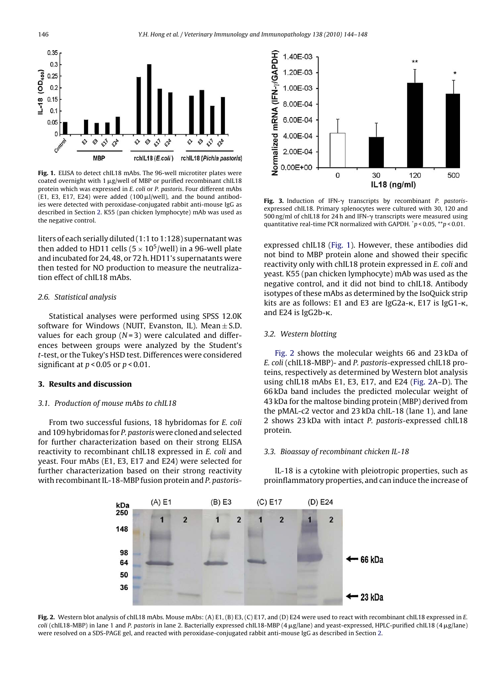<span id="page-2-0"></span>

**Fig. 1.** ELISA to detect chIL18 mAbs. The 96-well microtiter plates were coated overnight with  $1 \mu$ g/well of MBP or purified recombinant chIL18 protein which was expressed in E. coli or P. pastoris. Four different mAbs (E1, E3, E17, E24) were added (100  $\mu$ l/well), and the bound antibodies were detected with peroxidase-conjugated rabbit anti-mouse IgG as described in Section [2. K](#page-1-0)55 (pan chicken lymphocyte) mAb was used as the negative control.

liters of each serially diluted (1:1 to 1:128) supernatant was then added to HD11 cells ( $5 \times 10^5$ /well) in a 96-well plate and incubated for 24, 48, or 72 h. HD11's supernatants were then tested for NO production to measure the neutralization effect of chIL18 mAbs.

## 2.6. Statistical analysis

Statistical analyses were performed using SPSS 12.0K software for Windows (NUIT, Evanston, IL). Mean  $\pm$  S.D. values for each group  $(N=3)$  were calculated and differences between groups were analyzed by the Student's t-test, or the Tukey's HSD test. Differences were considered significant at  $p < 0.05$  or  $p < 0.01$ .

# **3. Results and discussion**

#### 3.1. Production of mouse mAbs to chIL18

From two successful fusions, 18 hybridomas for E. coli and 109 hybridomas for P. pastoris were cloned and selected for further characterization based on their strong ELISA reactivity to recombinant chIL18 expressed in E. coli and yeast. Four mAbs (E1, E3, E17 and E24) were selected for further characterization based on their strong reactivity with recombinant IL-18-MBP fusion protein and P. pastoris-



**Fig. 3.** Induction of IFN- $\gamma$  transcripts by recombinant P. pastorisexpressed chIL18. Primary splenocytes were cultured with 30, 120 and  $500$  ng/ml of chIL18 for 24 h and IFN- $\gamma$  transcripts were measured using quantitative real-time PCR normalized with GAPDH.  $\degree p$  < 0.05,  $\degree^{*}p$  < 0.01.

expressed chIL18 (Fig. 1). However, these antibodies did not bind to MBP protein alone and showed their specific reactivity only with chIL18 protein expressed in E. coli and yeast. K55 (pan chicken lymphocyte) mAb was used as the negative control, and it did not bind to chIL18. Antibody isotypes of these mAbs as determined by the IsoQuick strip kits are as follows: E1 and E3 are IgG2a- $\kappa$ , E17 is IgG1- $\kappa$ , and  $E24$  is IgG2b- $\kappa$ .

## 3.2. Western blotting

Fig. 2 shows the molecular weights 66 and 23 kDa of E. coli (chIL18-MBP)- and P. pastoris-expressed chIL18 proteins, respectively as determined by Western blot analysis using chIL18 mAbs E1, E3, E17, and E24 (Fig. 2A–D). The 66 kDa band includes the predicted molecular weight of 43 kDa for the maltose binding protein (MBP) derived from the pMAL-c2 vector and 23 kDa chIL-18 (lane 1), and lane 2 shows 23 kDa with intact P. pastoris-expressed chIL18 protein.

#### 3.3. Bioassay of recombinant chicken IL-18

IL-18 is a cytokine with pleiotropic properties, such as proinflammatory properties, and can induce the increase of



Fig. 2. Western blot analysis of chIL18 mAbs. Mouse mAbs: (A) E1, (B) E3, (C) E17, and (D) E24 were used to react with recombinant chIL18 expressed in E.  $coli$  (chlL18-MBP) in lane 1 and P. pastoris in lane 2. Bacterially expressed chlL18-MBP (4  $\mu$ g/lane) and yeast-expressed, HPLC-purified chlL18 (4  $\mu$ g/lane) were resolved on a SDS-PAGE gel, and reacted with peroxidase-conjugated rabbit anti-mouse IgG as described in Section [2.](#page-1-0)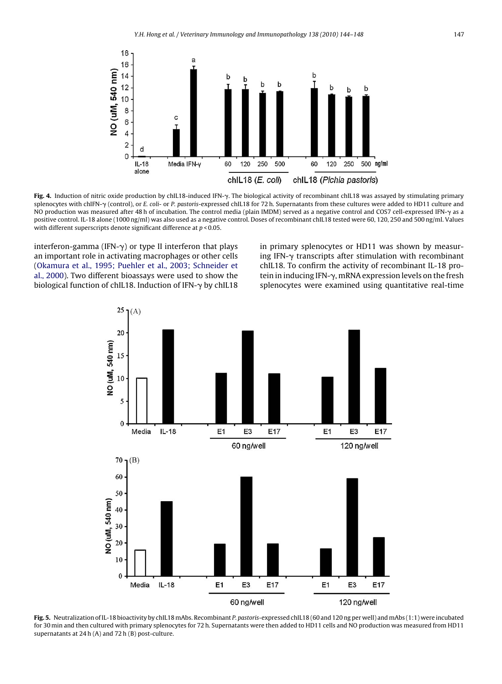<span id="page-3-0"></span>

**Fig. 4.** Induction of nitric oxide production by chIL18-induced IFN-y. The biological activity of recombinant chIL18 was assayed by stimulating primary splenocytes with chIFN- $\gamma$  (control), or *E. coli-* or *P. pastoris-*expressed chIL18 for 72 h. Supernatants from these cultures were added to HD11 culture and NO production was measured after 48 h of incubation. The control media (plain IMDM) served as a negative control and COS7 cell-expressed IFN- $\gamma$  as a positive control. IL-18 alone (1000 ng/ml) was also used as a negative control. Doses of recombinant chIL18 tested were 60, 120, 250 and 500 ng/ml. Values with different superscripts denote significant difference at  $p < 0.05$ .

interferon-gamma (IFN- $\gamma$ ) or type II interferon that plays an important role in activating macrophages or other cells [\(Okamura et al., 1995; Puehler et al., 2003; Schneider et](#page-4-0) [al., 2000\).](#page-4-0) Two different bioassays were used to show the biological function of chIL18. Induction of IFN-γ by chIL18

in primary splenocytes or HD11 was shown by measuring IFN- $\gamma$  transcripts after stimulation with recombinant chIL18. To confirm the activity of recombinant IL-18 protein in inducing IFN--, mRNA expression levels on the fresh splenocytes were examined using quantitative real-time



**Fig. 5.** Neutralization of IL-18 bioactivity by chIL18 mAbs. Recombinant P. pastoris-expressed chIL18 (60 and 120 ng per well) and mAbs (1:1) were incubated for 30 min and then cultured with primary splenocytes for 72 h. Supernatants were then added to HD11 cells and NO production was measured from HD11 supernatants at 24 h (A) and 72 h (B) post-culture.